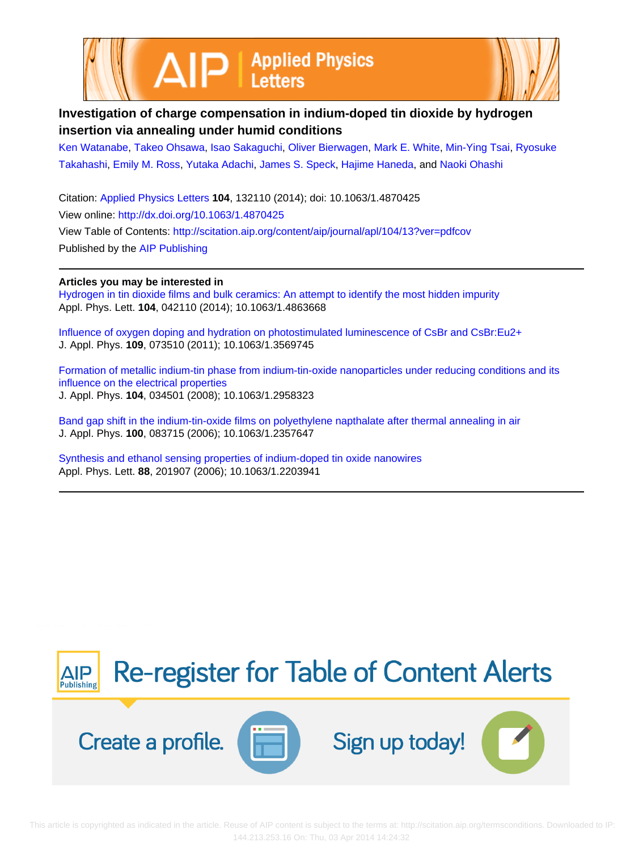



## **Investigation of charge compensation in indium-doped tin dioxide by hydrogen insertion via annealing under humid conditions**

[Ken Watanabe](http://scitation.aip.org/search?value1=Ken+Watanabe&option1=author), [Takeo Ohsawa,](http://scitation.aip.org/search?value1=Takeo+Ohsawa&option1=author) [Isao Sakaguchi,](http://scitation.aip.org/search?value1=Isao+Sakaguchi&option1=author) [Oliver Bierwagen,](http://scitation.aip.org/search?value1=Oliver+Bierwagen&option1=author) [Mark E. White,](http://scitation.aip.org/search?value1=Mark+E.+White&option1=author) [Min-Ying Tsai,](http://scitation.aip.org/search?value1=Min-Ying+Tsai&option1=author) [Ryosuke](http://scitation.aip.org/search?value1=Ryosuke+Takahashi&option1=author) [Takahashi](http://scitation.aip.org/search?value1=Ryosuke+Takahashi&option1=author), [Emily M. Ross,](http://scitation.aip.org/search?value1=Emily+M.+Ross&option1=author) [Yutaka Adachi,](http://scitation.aip.org/search?value1=Yutaka+Adachi&option1=author) [James S. Speck](http://scitation.aip.org/search?value1=James+S.+Speck&option1=author), [Hajime Haneda,](http://scitation.aip.org/search?value1=Hajime+Haneda&option1=author) and [Naoki Ohashi](http://scitation.aip.org/search?value1=Naoki+Ohashi&option1=author)

Citation: [Applied Physics Letters](http://scitation.aip.org/content/aip/journal/apl?ver=pdfcov) **104**, 132110 (2014); doi: 10.1063/1.4870425 View online: <http://dx.doi.org/10.1063/1.4870425> View Table of Contents: <http://scitation.aip.org/content/aip/journal/apl/104/13?ver=pdfcov> Published by the [AIP Publishing](http://scitation.aip.org/content/aip?ver=pdfcov)

## **Articles you may be interested in**

[Hydrogen in tin dioxide films and bulk ceramics: An attempt to identify the most hidden impurity](http://scitation.aip.org/content/aip/journal/apl/104/4/10.1063/1.4863668?ver=pdfcov) Appl. Phys. Lett. **104**, 042110 (2014); 10.1063/1.4863668

[Influence of oxygen doping and hydration on photostimulated luminescence of CsBr and CsBr:Eu2+](http://scitation.aip.org/content/aip/journal/jap/109/7/10.1063/1.3569745?ver=pdfcov) J. Appl. Phys. **109**, 073510 (2011); 10.1063/1.3569745

[Formation of metallic indium-tin phase from indium-tin-oxide nanoparticles under reducing conditions and its](http://scitation.aip.org/content/aip/journal/jap/104/3/10.1063/1.2958323?ver=pdfcov) [influence on the electrical properties](http://scitation.aip.org/content/aip/journal/jap/104/3/10.1063/1.2958323?ver=pdfcov) J. Appl. Phys. **104**, 034501 (2008); 10.1063/1.2958323

[Band gap shift in the indium-tin-oxide films on polyethylene napthalate after thermal annealing in air](http://scitation.aip.org/content/aip/journal/jap/100/8/10.1063/1.2357647?ver=pdfcov) J. Appl. Phys. **100**, 083715 (2006); 10.1063/1.2357647

[Synthesis and ethanol sensing properties of indium-doped tin oxide nanowires](http://scitation.aip.org/content/aip/journal/apl/88/20/10.1063/1.2203941?ver=pdfcov) Appl. Phys. Lett. **88**, 201907 (2006); 10.1063/1.2203941

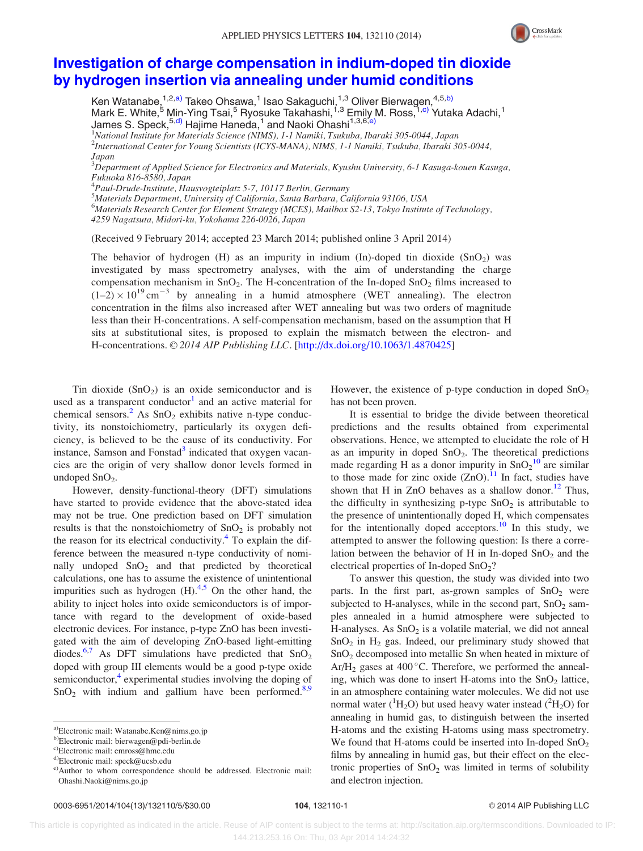

## [Investigation of charge compensation in indium-doped tin dioxide](http://dx.doi.org/10.1063/1.4870425) [by hydrogen insertion via annealing under humid conditions](http://dx.doi.org/10.1063/1.4870425)

Ken Watanabe, $^{1,2,\text{a)}}$  Takeo Ohsawa, $^1$  Isao Sakaguchi, $^{1,3}_\cdot$  Oliver Bierwagen, $^{4,5,\text{b)}}$ Mark E. White,<sup>5</sup> Min-Ying Tsai,<sup>5</sup> Ryosuke Takahashi,<sup>1,3</sup> Emily M. Ross,<sup>1,c)</sup> Yutaka Adachi,<sup>1</sup> James S. Speck, <sup>5,d)</sup> Hajime Haneda,<sup>1</sup> and Naoki Ohashi<sup>1,3,6,e</sup>)<br><sup>1</sup>National Institute for Materials Science (NIMS), L. J. Namibi Tsukuba, Iba <sup>1</sup>National Institute for Materials Science (NIMS), 1-1 Namiki, Tsukuba, Ibaraki 305-0044, Japan

2 International Center for Young Scientists (ICYS-MANA), NIMS, 1-1 Namiki, Tsukuba, Ibaraki 305-0044, Japan

 $^3\!D$ epartment of Applied Science for Electronics and Materials, Kyushu University, 6-1 Kasuga-kouen Kasuga, Fukuoka 816-8580, Japan

4 Paul-Drude-Institute, Hausvogteiplatz 5-7, 10117 Berlin, Germany

5 Materials Department, University of California, Santa Barbara, California 93106, USA

<sup>6</sup>Materials Research Center for Element Strategy (MCES), Mailbox S2-13, Tokyo Institute of Technology,

(Received 9 February 2014; accepted 23 March 2014; published online 3 April 2014)

The behavior of hydrogen (H) as an impurity in indium (In)-doped tin dioxide  $(SnO<sub>2</sub>)$  was investigated by mass spectrometry analyses, with the aim of understanding the charge compensation mechanism in  $SnO<sub>2</sub>$ . The H-concentration of the In-doped  $SnO<sub>2</sub>$  films increased to  $(1-2) \times 10^{19}$  cm<sup>-3</sup> by annealing in a humid atmosphere (WET annealing). The electron concentration in the films also increased after WET annealing but was two orders of magnitude less than their H-concentrations. A self-compensation mechanism, based on the assumption that H sits at substitutional sites, is proposed to explain the mismatch between the electron- and H-concentrations. © 2014 AIP Publishing LLC. [[http://dx.doi.org/10.1063/1.4870425\]](http://dx.doi.org/10.1063/1.4870425)

Tin dioxide  $(SnO<sub>2</sub>)$  is an oxide semiconductor and is used as a transparent conductor<sup>[1](#page-4-0)</sup> and an active material for chemical sensors.<sup>[2](#page-4-0)</sup> As  $SnO<sub>2</sub>$  exhibits native n-type conductivity, its nonstoichiometry, particularly its oxygen deficiency, is believed to be the cause of its conductivity. For instance, Samson and Fonstad $3$  indicated that oxygen vacancies are the origin of very shallow donor levels formed in undoped  $SnO<sub>2</sub>$ .

However, density-functional-theory (DFT) simulations have started to provide evidence that the above-stated idea may not be true. One prediction based on DFT simulation results is that the nonstoichiometry of  $SnO<sub>2</sub>$  is probably not the reason for its electrical conductivity. $4$  To explain the difference between the measured n-type conductivity of nominally undoped  $SnO<sub>2</sub>$  and that predicted by theoretical calculations, one has to assume the existence of unintentional impurities such as hydrogen  $(H)$ .<sup>4,5</sup> On the other hand, the ability to inject holes into oxide semiconductors is of importance with regard to the development of oxide-based electronic devices. For instance, p-type ZnO has been investigated with the aim of developing ZnO-based light-emitting diodes.<sup>6,7</sup> As DFT simulations have predicted that  $SnO<sub>2</sub>$ doped with group III elements would be a good p-type oxide semiconductor, $4$  experimental studies involving the doping of  $SnO<sub>2</sub>$  with indium and gallium have been performed.<sup>[8,9](#page-4-0)</sup> However, the existence of p-type conduction in doped  $SnO<sub>2</sub>$ has not been proven.

It is essential to bridge the divide between theoretical predictions and the results obtained from experimental observations. Hence, we attempted to elucidate the role of H as an impurity in doped  $SnO<sub>2</sub>$ . The theoretical predictions made regarding H as a donor impurity in  $SnO<sub>2</sub><sup>10</sup>$  $SnO<sub>2</sub><sup>10</sup>$  $SnO<sub>2</sub><sup>10</sup>$  are similar to those made for zinc oxide  $(ZnO)$ .<sup>11</sup> In fact, studies have shown that H in ZnO behaves as a shallow donor.<sup>[12](#page-5-0)</sup> Thus, the difficulty in synthesizing p-type  $SnO<sub>2</sub>$  is attributable to the presence of unintentionally doped H, which compensates for the intentionally doped acceptors.<sup>[10](#page-5-0)</sup> In this study, we attempted to answer the following question: Is there a correlation between the behavior of H in In-doped  $SnO<sub>2</sub>$  and the electrical properties of In-doped SnO<sub>2</sub>?

To answer this question, the study was divided into two parts. In the first part, as-grown samples of  $SnO<sub>2</sub>$  were subjected to H-analyses, while in the second part,  $SnO<sub>2</sub>$  samples annealed in a humid atmosphere were subjected to H-analyses. As  $SnO<sub>2</sub>$  is a volatile material, we did not anneal  $SnO<sub>2</sub>$  in H<sub>2</sub> gas. Indeed, our preliminary study showed that SnO2 decomposed into metallic Sn when heated in mixture of Ar/H<sub>2</sub> gases at 400 °C. Therefore, we performed the annealing, which was done to insert H-atoms into the  $SnO<sub>2</sub>$  lattice, in an atmosphere containing water molecules. We did not use normal water ( ${}^{1}H_{2}O$ ) but used heavy water instead ( ${}^{2}H_{2}O$ ) for annealing in humid gas, to distinguish between the inserted H-atoms and the existing H-atoms using mass spectrometry. We found that H-atoms could be inserted into In-doped  $SnO<sub>2</sub>$ films by annealing in humid gas, but their effect on the electronic properties of  $SnO<sub>2</sub>$  was limited in terms of solubility and electron injection.

<sup>4259</sup> Nagatsuta, Midori-ku, Yokohama 226-0026, Japan

a)Electronic mail: [Watanabe.Ken@nims.go.jp](mailto:Watanabe.Ken@nims.go.jp)

b)Electronic mail: [bierwagen@pdi-berlin.de](mailto:bierwagen@pdi-berlin.de)

c)Electronic mail: [emross@hmc.edu](mailto:emross@hmc.edu)

d)Electronic mail: [speck@ucsb.edu](mailto:speck@ucsb.edu)

e)Author to whom correspondence should be addressed. Electronic mail: [Ohashi.Naoki@nims.go.jp](mailto:Ohashi.Naoki@nims.go.jp)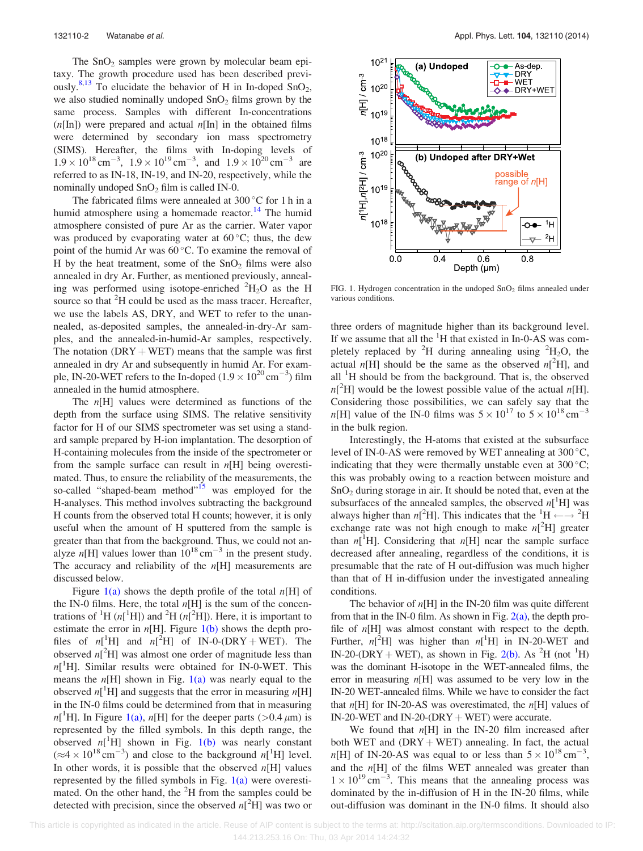<span id="page-2-0"></span>The  $SnO<sub>2</sub>$  samples were grown by molecular beam epitaxy. The growth procedure used has been described previ-ously.<sup>[8](#page-4-0)[,13](#page-5-0)</sup> To elucidate the behavior of H in In-doped SnO<sub>2</sub>, we also studied nominally undoped  $SnO<sub>2</sub>$  films grown by the same process. Samples with different In-concentrations  $(n[\text{In}])$  were prepared and actual  $n[\text{In}]$  in the obtained films were determined by secondary ion mass spectrometry (SIMS). Hereafter, the films with In-doping levels of  $1.9 \times 10^{18}$  cm<sup>-3</sup>,  $1.9 \times 10^{19}$  cm<sup>-3</sup>, and  $1.9 \times 10^{20}$  cm<sup>-3</sup> are referred to as IN-18, IN-19, and IN-20, respectively, while the nominally undoped  $SnO<sub>2</sub>$  film is called IN-0.

The fabricated films were annealed at  $300^{\circ}$ C for 1 h in a humid atmosphere using a homemade reactor.<sup>14</sup> The humid atmosphere consisted of pure Ar as the carrier. Water vapor was produced by evaporating water at  $60^{\circ}$ C; thus, the dew point of the humid Ar was  $60^{\circ}$ C. To examine the removal of H by the heat treatment, some of the  $SnO<sub>2</sub>$  films were also annealed in dry Ar. Further, as mentioned previously, annealing was performed using isotope-enriched  ${}^{2}H_{2}O$  as the H source so that <sup>2</sup>H could be used as the mass tracer. Hereafter, we use the labels AS, DRY, and WET to refer to the unannealed, as-deposited samples, the annealed-in-dry-Ar samples, and the annealed-in-humid-Ar samples, respectively. The notation  $(DRY + WET)$  means that the sample was first annealed in dry Ar and subsequently in humid Ar. For example, IN-20-WET refers to the In-doped ( $1.9 \times 10^{20}$  cm<sup>-3</sup>) film annealed in the humid atmosphere.

The  $n[H]$  values were determined as functions of the depth from the surface using SIMS. The relative sensitivity factor for H of our SIMS spectrometer was set using a standard sample prepared by H-ion implantation. The desorption of H-containing molecules from the inside of the spectrometer or from the sample surface can result in  $n[H]$  being overestimated. Thus, to ensure the reliability of the measurements, the so-called "shaped-beam method"<sup>[15](#page-5-0)</sup> was employed for the H-analyses. This method involves subtracting the background H counts from the observed total H counts; however, it is only useful when the amount of H sputtered from the sample is greater than that from the background. Thus, we could not analyze  $n[H]$  values lower than  $10^{18}$  cm<sup>-3</sup> in the present study. The accuracy and reliability of the  $n[H]$  measurements are discussed below.

Figure  $1(a)$  shows the depth profile of the total  $n[H]$  of the IN-0 films. Here, the total  $n[H]$  is the sum of the concentrations of <sup>1</sup>H ( $n[^1H]$ ) and <sup>2</sup>H ( $n[^2H]$ ). Here, it is important to estimate the error in  $n[H]$ . Figure  $1(b)$  shows the depth profiles of  $n[^1H]$  and  $n[^2H]$  of IN-0-(DRY + WET). The observed  $n[^2H]$  was almost one order of magnitude less than  $n[^1H]$ . Similar results were obtained for IN-0-WET. This means the  $n[H]$  shown in Fig. 1(a) was nearly equal to the observed  $n[^1H]$  and suggests that the error in measuring  $n[H]$ in the IN-0 films could be determined from that in measuring  $n[^1H]$ . In Figure 1(a),  $n[H]$  for the deeper parts (>0.4  $\mu$ m) is represented by the filled symbols. In this depth range, the observed  $n[^{1}H]$  shown in Fig. 1(b) was nearly constant  $(\approx 4 \times 10^{18} \text{ cm}^{-3})$  and close to the background  $n[^1\text{H}]$  level. In other words, it is possible that the observed  $n[H]$  values represented by the filled symbols in Fig.  $1(a)$  were overestimated. On the other hand, the  ${}^{2}H$  from the samples could be detected with precision, since the observed  $n[^2H]$  was two or



FIG. 1. Hydrogen concentration in the undoped  $SnO<sub>2</sub>$  films annealed under various conditions.

three orders of magnitude higher than its background level. If we assume that all the  ${}^{1}H$  that existed in In-0-AS was completely replaced by <sup>2</sup>H during annealing using <sup>2</sup>H<sub>2</sub>O, the actual  $n[H]$  should be the same as the observed  $n[^2H]$ , and all  ${}^{1}H$  should be from the background. That is, the observed  $n[^2H]$  would be the lowest possible value of the actual  $n[H]$ . Considering those possibilities, we can safely say that the *n*[H] value of the IN-0 films was  $5 \times 10^{17}$  to  $5 \times 10^{18}$  cm<sup>-3</sup> in the bulk region.

Interestingly, the H-atoms that existed at the subsurface level of IN-0-AS were removed by WET annealing at  $300^{\circ}$ C, indicating that they were thermally unstable even at  $300^{\circ}$ C; this was probably owing to a reaction between moisture and  $SnO<sub>2</sub>$  during storage in air. It should be noted that, even at the subsurfaces of the annealed samples, the observed  $n[^1H]$  was always higher than  $n[^2H]$ . This indicates that the  ${}^{1}H \leftarrow \rightarrow {}^{2}H$ exchange rate was not high enough to make  $n[^2H]$  greater than  $n[^{1}H]$ . Considering that  $n[H]$  near the sample surface decreased after annealing, regardless of the conditions, it is presumable that the rate of H out-diffusion was much higher than that of H in-diffusion under the investigated annealing conditions.

The behavior of  $n[H]$  in the IN-20 film was quite different from that in the IN-0 film. As shown in Fig.  $2(a)$ , the depth profile of  $n[H]$  was almost constant with respect to the depth. Further,  $n[^{2}H]$  was higher than  $n[^{1}H]$  in IN-20-WET and IN-20-(DRY + WET), as shown in Fig. [2\(b\)](#page-3-0). As <sup>2</sup>H (not <sup>1</sup>H) was the dominant H-isotope in the WET-annealed films, the error in measuring  $n[H]$  was assumed to be very low in the IN-20 WET-annealed films. While we have to consider the fact that  $n[H]$  for IN-20-AS was overestimated, the  $n[H]$  values of IN-20-WET and IN-20-( $DRY + WET$ ) were accurate.

We found that  $n[H]$  in the IN-20 film increased after both WET and  $(DRY + WET)$  annealing. In fact, the actual  $n[H]$  of IN-20-AS was equal to or less than  $5 \times 10^{18} \text{ cm}^{-3}$ , and the  $n[H]$  of the films WET annealed was greater than  $1 \times 10^{19}$  cm<sup>-3</sup>. This means that the annealing process was dominated by the in-diffusion of H in the IN-20 films, while out-diffusion was dominant in the IN-0 films. It should also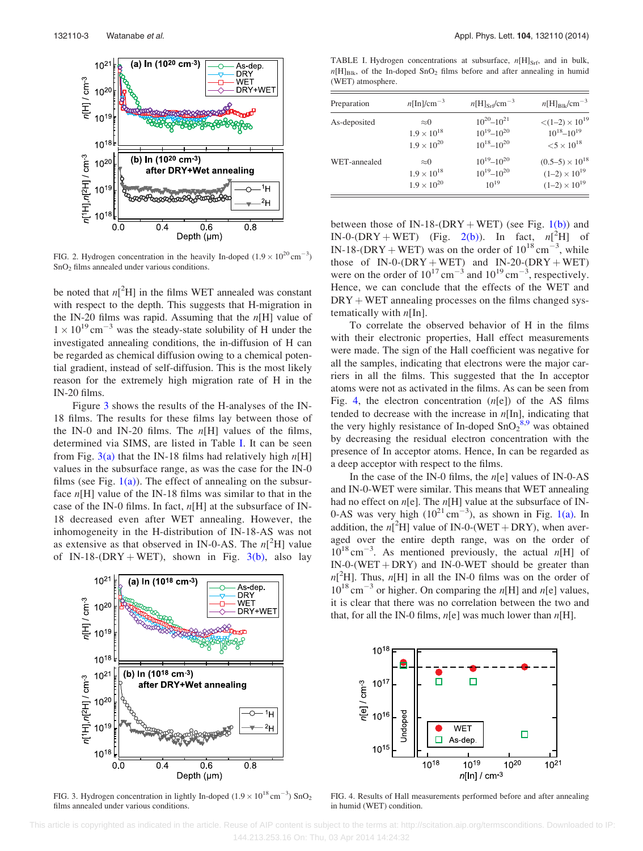<span id="page-3-0"></span>

FIG. 2. Hydrogen concentration in the heavily In-doped  $(1.9 \times 10^{20} \text{ cm}^{-3})$  $SnO<sub>2</sub>$  films annealed under various conditions.

be noted that  $n[^2H]$  in the films WET annealed was constant with respect to the depth. This suggests that H-migration in the IN-20 films was rapid. Assuming that the  $n[H]$  value of  $1 \times 10^{19}$  cm<sup>-3</sup> was the steady-state solubility of H under the investigated annealing conditions, the in-diffusion of H can be regarded as chemical diffusion owing to a chemical potential gradient, instead of self-diffusion. This is the most likely reason for the extremely high migration rate of H in the IN-20 films.

Figure 3 shows the results of the H-analyses of the IN-18 films. The results for these films lay between those of the IN-0 and IN-20 films. The  $n[H]$  values of the films, determined via SIMS, are listed in Table I. It can be seen from Fig. 3(a) that the IN-18 films had relatively high  $n[H]$ values in the subsurface range, as was the case for the IN-0 films (see Fig.  $1(a)$ ). The effect of annealing on the subsurface  $n[H]$  value of the IN-18 films was similar to that in the case of the IN-0 films. In fact,  $n[H]$  at the subsurface of IN-18 decreased even after WET annealing. However, the inhomogeneity in the H-distribution of IN-18-AS was not as extensive as that observed in IN-0-AS. The  $n[^2H]$  value of IN-18-(DRY + WET), shown in Fig.  $3(b)$ , also lay



FIG. 3. Hydrogen concentration in lightly In-doped  $(1.9 \times 10^{18} \text{ cm}^{-3})$  SnO<sub>2</sub> films annealed under various conditions.

TABLE I. Hydrogen concentrations at subsurface,  $n[H]_{Srf}$ , and in bulk,  $n[H]_{\text{Blk}}$ , of the In-doped SnO<sub>2</sub> films before and after annealing in humid (WET) atmosphere.

| Preparation  | $n[\text{In}]/\text{cm}^{-3}$ | $n[H]_{\rm Srf}$ /cm <sup>-3</sup> | $n[H]_{\text{R1k}}/\text{cm}^{-3}$     |
|--------------|-------------------------------|------------------------------------|----------------------------------------|
| As-deposited | $\approx 0$                   | $10^{20} - 10^{21}$                | $\langle (1-2) \times 10^{19} \rangle$ |
|              | $1.9 \times 10^{18}$          | $10^{19} - 10^{20}$                | $10^{18} - 10^{19}$                    |
|              | $1.9 \times 10^{20}$          | $10^{18} - 10^{20}$                | ${<}5 \times 10^{18}$                  |
| WET-annealed | $\approx 0$                   | $10^{19} - 10^{20}$                | $(0.5-5) \times 10^{18}$               |
|              | $1.9 \times 10^{18}$          | $10^{19} - 10^{20}$                | $(1-2) \times 10^{19}$                 |
|              | $1.9 \times 10^{20}$          | $10^{19}$                          | $(1-2) \times 10^{19}$                 |

between those of IN-18-(DRY + WET) (see Fig.  $1(b)$ ) and IN-0-(DRY + WET) (Fig. 2(b)). In fact,  $n[^2H]$  of IN-18-(DRY + WET) was on the order of  $10^{18}$  cm<sup>-3</sup>, while those of  $IN-O-(DRY + WET)$  and  $IN-2O-(DRY + WET)$ were on the order of  $10^{17}$  cm<sup>-3</sup> and  $10^{19}$  cm<sup>-3</sup>, respectively. Hence, we can conclude that the effects of the WET and  $DRY + WET$  annealing processes on the films changed systematically with  $n[\text{In}]$ .

To correlate the observed behavior of H in the films with their electronic properties, Hall effect measurements were made. The sign of the Hall coefficient was negative for all the samples, indicating that electrons were the major carriers in all the films. This suggested that the In acceptor atoms were not as activated in the films. As can be seen from Fig. 4, the electron concentration  $(n[e])$  of the AS films tended to decrease with the increase in  $n[\text{In}]$ , indicating that the very highly resistance of In-doped  $SnO<sub>2</sub><sup>8,9</sup>$  $SnO<sub>2</sub><sup>8,9</sup>$  $SnO<sub>2</sub><sup>8,9</sup>$  was obtained by decreasing the residual electron concentration with the presence of In acceptor atoms. Hence, In can be regarded as a deep acceptor with respect to the films.

In the case of the IN-0 films, the  $n[e]$  values of IN-0-AS and IN-0-WET were similar. This means that WET annealing had no effect on  $n[e]$ . The  $n[H]$  value at the subsurface of IN-0-AS was very high  $(10^{21} \text{ cm}^{-3})$ , as shown in Fig. [1\(a\)](#page-2-0). In addition, the  $n[^2H]$  value of IN-0-(WET + DRY), when averaged over the entire depth range, was on the order of  $10^{18}$  cm<sup>-3</sup>. As mentioned previously, the actual n[H] of  $IN-O-(WET + DRY)$  and  $IN-O-WET$  should be greater than  $n[^2H]$ . Thus,  $n[H]$  in all the IN-0 films was on the order of  $10^{18}$  cm<sup>-3</sup> or higher. On comparing the n[H] and n[e] values, it is clear that there was no correlation between the two and that, for all the IN-0 films,  $n[e]$  was much lower than  $n[H]$ .



FIG. 4. Results of Hall measurements performed before and after annealing in humid (WET) condition.

 This article is copyrighted as indicated in the article. Reuse of AIP content is subject to the terms at: http://scitation.aip.org/termsconditions. Downloaded to IP: 144.213.253.16 On: Thu, 03 Apr 2014 14:24:32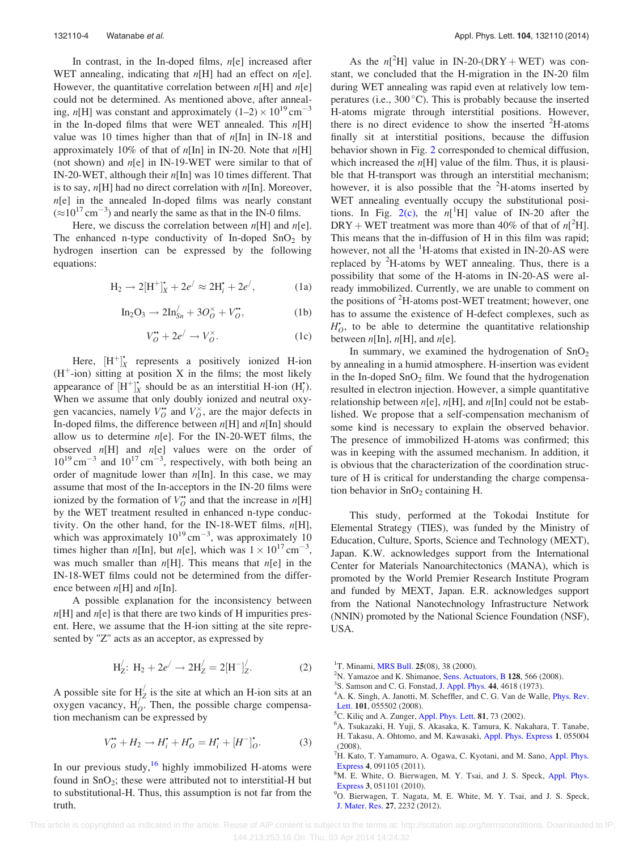<span id="page-4-0"></span>In contrast, in the In-doped films,  $n[e]$  increased after WET annealing, indicating that  $n[H]$  had an effect on  $n[e]$ . However, the quantitative correlation between  $n[H]$  and  $n[e]$ could not be determined. As mentioned above, after annealing, n[H] was constant and approximately  $(1-2) \times 10^{19}$  cm<sup>-3</sup> in the In-doped films that were WET annealed. This  $n[H]$ value was 10 times higher than that of  $n[\text{In}]$  in IN-18 and approximately 10% of that of  $n[\text{In}]$  in IN-20. Note that  $n[\text{H}]$ (not shown) and  $n[e]$  in IN-19-WET were similar to that of IN-20-WET, although their n[In] was 10 times different. That is to say,  $n[H]$  had no direct correlation with  $n[In]$ . Moreover,  $n[e]$  in the annealed In-doped films was nearly constant  $(\approx 10^{17} \text{ cm}^{-3})$  and nearly the same as that in the IN-0 films.

Here, we discuss the correlation between  $n[H]$  and  $n[e]$ . The enhanced n-type conductivity of In-doped  $SnO<sub>2</sub>$  by hydrogen insertion can be expressed by the following equations:

$$
H_2 \to 2[H^+]_X^* + 2e^/ \approx 2H_i^* + 2e^/ , \qquad (1a)
$$

$$
\text{In}_2\text{O}_3 \to 2\text{In}_{Sn}^/ + 3O_O^\times + V_O^{\bullet},\tag{1b}
$$

$$
V_O^{\bullet \bullet} + 2e^{\prime} \to V_O^{\times}.
$$
 (1c)

Here,  $[H^+]_X^*$  represents a positively ionized H-ion  $(H^+$ -ion) sitting at position X in the films; the most likely appearance of  $[H^+]_X^*$  should be as an interstitial H-ion  $(H_i^*)$ . When we assume that only doubly ionized and neutral oxygen vacancies, namely  $V_O^*$  and  $V_O^{\times}$ , are the major defects in In-doped films, the difference between  $n[H]$  and  $n[In]$  should allow us to determine  $n[e]$ . For the IN-20-WET films, the observed  $n[H]$  and  $n[e]$  values were on the order of  $10^{19}$  cm<sup>-3</sup> and  $10^{17}$  cm<sup>-3</sup>, respectively, with both being an order of magnitude lower than  $n[In]$ . In this case, we may assume that most of the In-acceptors in the IN-20 films were ionized by the formation of  $V_O^{\bullet}$  and that the increase in  $n[H]$ by the WET treatment resulted in enhanced n-type conductivity. On the other hand, for the IN-18-WET films,  $n[H]$ , which was approximately  $10^{19}$  cm<sup>-3</sup>, was approximately 10 times higher than *n*[In], but *n*[e], which was  $1 \times 10^{17}$  cm<sup>-3</sup>, was much smaller than  $n[H]$ . This means that  $n[e]$  in the IN-18-WET films could not be determined from the difference between  $n[H]$  and  $n[In]$ .

A possible explanation for the inconsistency between  $n[H]$  and  $n[e]$  is that there are two kinds of H impurities present. Here, we assume that the H-ion sitting at the site represented by "Z" acts as an acceptor, as expressed by

$$
H'_Z: H_2 + 2e' \to 2H'_Z = 2[H^-]'_Z.
$$
 (2)

A possible site for  $H_Z / z$  is the site at which an H-ion sits at an oxygen vacancy,  $H_O^{\prime^2}$ . Then, the possible charge compensation mechanism can be expressed by

$$
V_O^{\bullet \bullet} + H_2 \to H_i^{\bullet} + H_O^{\bullet} = H_i^{\bullet} + [H^-]_O^{\bullet}.
$$
 (3)

In our previous study,  $16$  highly immobilized H-atoms were found in  $SnO<sub>2</sub>$ ; these were attributed not to interstitial-H but to substitutional-H. Thus, this assumption is not far from the truth.

As the  $n[^2H]$  value in IN-20-(DRY + WET) was constant, we concluded that the H-migration in the IN-20 film during WET annealing was rapid even at relatively low temperatures (i.e.,  $300^{\circ}$ C). This is probably because the inserted H-atoms migrate through interstitial positions. However, there is no direct evidence to show the inserted  ${}^{2}$ H-atoms finally sit at interstitial positions, because the diffusion behavior shown in Fig. [2](#page-3-0) corresponded to chemical diffusion, which increased the  $n[H]$  value of the film. Thus, it is plausible that H-transport was through an interstitial mechanism; however, it is also possible that the  ${}^{2}$ H-atoms inserted by WET annealing eventually occupy the substitutional positions. In Fig.  $2(c)$ , the  $n[^1H]$  value of IN-20 after the DRY + WET treatment was more than 40% of that of  $n[^2H]$ . This means that the in-diffusion of H in this film was rapid; however, not all the <sup>1</sup>H-atoms that existed in IN-20-AS were replaced by  ${}^{2}H$ -atoms by WET annealing. Thus, there is a possibility that some of the H-atoms in IN-20-AS were already immobilized. Currently, we are unable to comment on the positions of <sup>2</sup>H-atoms post-WET treatment; however, one has to assume the existence of H-defect complexes, such as  $H_O^*$ , to be able to determine the quantitative relationship between  $n[\text{In}], n[\text{H}],$  and  $n[\text{e}].$ 

In summary, we examined the hydrogenation of  $SnO<sub>2</sub>$ by annealing in a humid atmosphere. H-insertion was evident in the In-doped  $SnO<sub>2</sub>$  film. We found that the hydrogenation resulted in electron injection. However, a simple quantitative relationship between  $n[e]$ ,  $n[H]$ , and  $n[In]$  could not be established. We propose that a self-compensation mechanism of some kind is necessary to explain the observed behavior. The presence of immobilized H-atoms was confirmed; this was in keeping with the assumed mechanism. In addition, it is obvious that the characterization of the coordination structure of H is critical for understanding the charge compensation behavior in  $SnO<sub>2</sub>$  containing H.

This study, performed at the Tokodai Institute for Elemental Strategy (TIES), was funded by the Ministry of Education, Culture, Sports, Science and Technology (MEXT), Japan. K.W. acknowledges support from the International Center for Materials Nanoarchitectonics (MANA), which is promoted by the World Premier Research Institute Program and funded by MEXT, Japan. E.R. acknowledges support from the National Nanotechnology Infrastructure Network (NNIN) promoted by the National Science Foundation (NSF), USA.

<sup>1</sup>T. Minami, [MRS Bull.](http://dx.doi.org/10.1557/mrs2000.149) 25(08), 38 (2000).<br><sup>2</sup>N. Vamazoe and K. Shimanoe, Sans. Act

- <sup>3</sup>S. Samson and C. G. Fonstad, [J. Appl. Phys.](http://dx.doi.org/10.1063/1.1662011) 44, 4618 (1973).
- <sup>4</sup>A. K. Singh, A. Janotti, M. Scheffler, and C. G. Van de Walle, *[Phys. Rev.](http://dx.doi.org/10.1103/PhysRevLett.101.055502)* [Lett.](http://dx.doi.org/10.1103/PhysRevLett.101.055502) 101, 055502 (2008).
- <sup>5</sup>C. Kilic and A. Zunger, [Appl. Phys. Lett.](http://dx.doi.org/10.1063/1.1482783) **81**, 73 (2002).
- <sup>6</sup>A. Tsukazaki, H. Yuji, S. Akasaka, K. Tamura, K. Nakahara, T. Tanabe, H. Takasu, A. Ohtomo, and M. Kawasaki, [Appl. Phys. Express](http://dx.doi.org/10.1143/APEX.1.055004) 1, 055004 (2008).

 ${}^{2}$ N. Yamazoe and K. Shimanoe, [Sens. Actuators, B](http://dx.doi.org/10.1016/j.snb.2007.07.036) 128, 566 (2008).

<sup>&</sup>lt;sup>7</sup>H. Kato, T. Yamamuro, A. Ogawa, C. Kyotani, and M. Sano, [Appl. Phys.](http://dx.doi.org/10.1143/APEX.4.091105) [Express](http://dx.doi.org/10.1143/APEX.4.091105) 4, 091105 (2011).

<sup>&</sup>lt;sup>8</sup>M. E. White, O. Bierwagen, M. Y. Tsai, and J. S. Speck, [Appl. Phys.](http://dx.doi.org/10.1143/APEX.3.051101) [Express](http://dx.doi.org/10.1143/APEX.3.051101) 3, 051101 (2010).

<sup>&</sup>lt;sup>9</sup>O. Bierwagen, T. Nagata, M. E. White, M. Y. Tsai, and J. S. Speck, [J. Mater. Res.](http://dx.doi.org/10.1557/jmr.2012.172) 27, 2232 (2012).